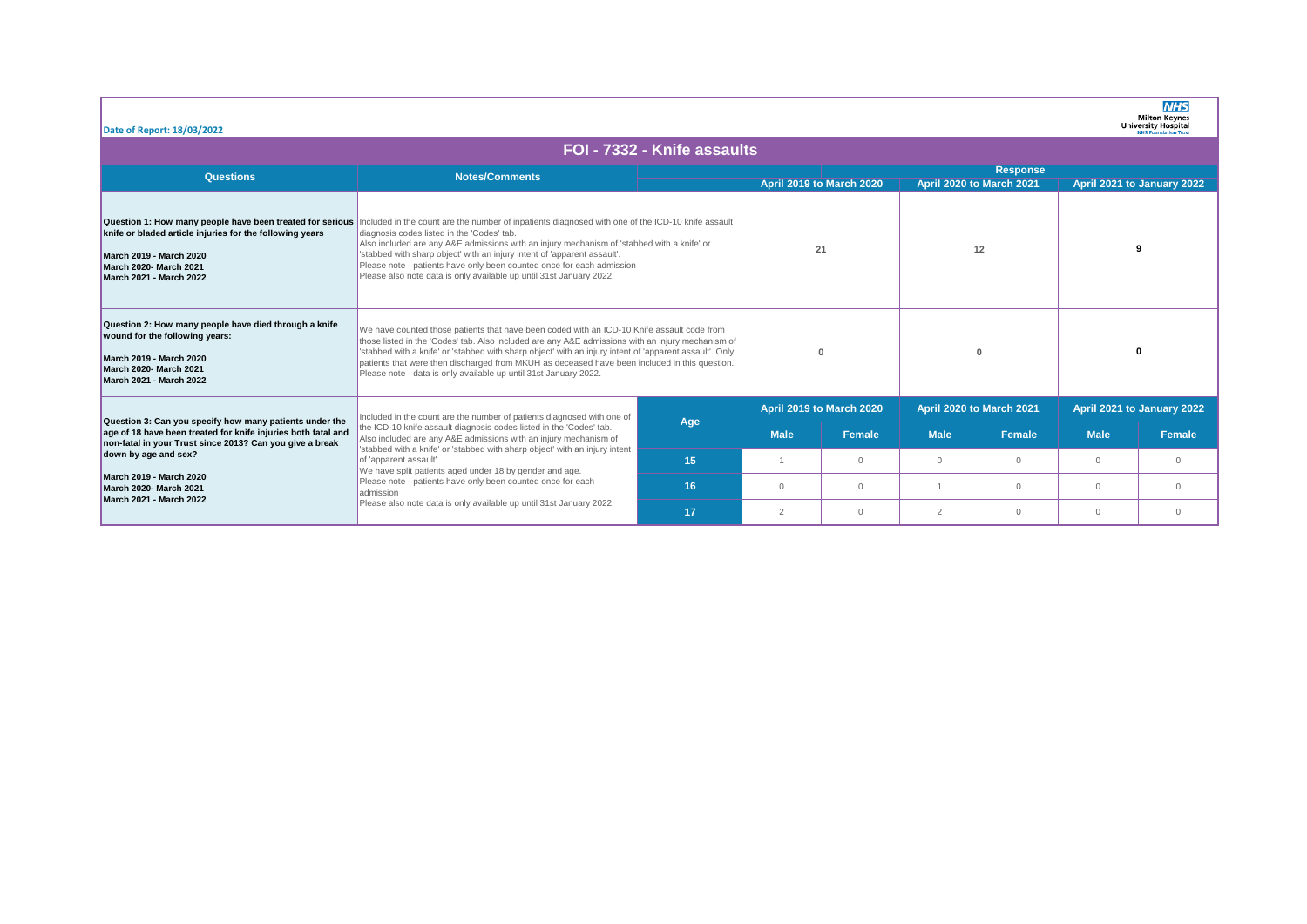| Date of Report: 18/03/2022                                                                                                                                                                                                                                                                                        |                                                                                                                                                                                                                                                                                                                                                                                                                                                                                                                                          |                             |                          |                          |                          |                          |                            | <b>NHS</b><br><b>Milton Keynes</b><br><b>University Hospital</b> |  |
|-------------------------------------------------------------------------------------------------------------------------------------------------------------------------------------------------------------------------------------------------------------------------------------------------------------------|------------------------------------------------------------------------------------------------------------------------------------------------------------------------------------------------------------------------------------------------------------------------------------------------------------------------------------------------------------------------------------------------------------------------------------------------------------------------------------------------------------------------------------------|-----------------------------|--------------------------|--------------------------|--------------------------|--------------------------|----------------------------|------------------------------------------------------------------|--|
|                                                                                                                                                                                                                                                                                                                   |                                                                                                                                                                                                                                                                                                                                                                                                                                                                                                                                          | FOI - 7332 - Knife assaults |                          |                          |                          |                          |                            |                                                                  |  |
| Questions                                                                                                                                                                                                                                                                                                         | <b>Notes/Comments</b>                                                                                                                                                                                                                                                                                                                                                                                                                                                                                                                    |                             |                          |                          |                          | <b>Response</b>          |                            |                                                                  |  |
|                                                                                                                                                                                                                                                                                                                   |                                                                                                                                                                                                                                                                                                                                                                                                                                                                                                                                          |                             |                          | April 2019 to March 2020 |                          | April 2020 to March 2021 |                            | April 2021 to January 2022                                       |  |
| Question 1: How many people have been treated for serious<br>knife or bladed article injuries for the following years<br><b>March 2019 - March 2020</b><br><b>March 2020- March 2021</b><br><b>March 2021 - March 2022</b>                                                                                        | Included in the count are the number of inpatients diagnosed with one of the ICD-10 knife assault<br>diagnosis codes listed in the 'Codes' tab.<br>Also included are any A&E admissions with an injury mechanism of 'stabbed with a knife' or<br>'stabbed with sharp object' with an injury intent of 'apparent assault'.<br>Please note - patients have only been counted once for each admission<br>Please also note data is only available up until 31st January 2022.                                                                | 21                          |                          | 12                       |                          | 9                        |                            |                                                                  |  |
| Question 2: How many people have died through a knife<br>wound for the following years:<br><b>March 2019 - March 2020</b><br><b>March 2020- March 2021</b><br><b>March 2021 - March 2022</b>                                                                                                                      | We have counted those patients that have been coded with an ICD-10 Knife assault code from<br>those listed in the 'Codes' tab. Also included are any A&E admissions with an injury mechanism of<br>'stabbed with a knife' or 'stabbed with sharp object' with an injury intent of 'apparent assault'. Only<br>patients that were then discharged from MKUH as deceased have been included in this question.<br>Please note - data is only available up until 31st January 2022.                                                          | $\mathbf{0}$                |                          | $\Omega$                 |                          | n                        |                            |                                                                  |  |
| Question 3: Can you specify how many patients under the<br>age of 18 have been treated for knife injuries both fatal and<br>non-fatal in your Trust since 2013? Can you give a break<br>down by age and sex?<br><b>March 2019 - March 2020</b><br><b>March 2020- March 2021</b><br><b>March 2021 - March 2022</b> | Included in the count are the number of patients diagnosed with one of<br>the ICD-10 knife assault diagnosis codes listed in the 'Codes' tab.<br>Also included are any A&E admissions with an injury mechanism of<br>'stabbed with a knife' or 'stabbed with sharp object' with an injury intent<br>of 'apparent assault'.<br>We have split patients aged under 18 by gender and age.<br>Please note - patients have only been counted once for each<br>admission<br>Please also note data is only available up until 31st January 2022. | Age                         | April 2019 to March 2020 |                          | April 2020 to March 2021 |                          | April 2021 to January 2022 |                                                                  |  |
|                                                                                                                                                                                                                                                                                                                   |                                                                                                                                                                                                                                                                                                                                                                                                                                                                                                                                          |                             | <b>Male</b>              | Female                   | <b>Male</b>              | Female                   | <b>Male</b>                | <b>Female</b>                                                    |  |
|                                                                                                                                                                                                                                                                                                                   |                                                                                                                                                                                                                                                                                                                                                                                                                                                                                                                                          | 15                          |                          | $\Omega$                 | $\circ$                  | $\Omega$                 | $\Omega$                   | $\circ$                                                          |  |
|                                                                                                                                                                                                                                                                                                                   |                                                                                                                                                                                                                                                                                                                                                                                                                                                                                                                                          | 16                          |                          | $\Omega$                 |                          | $\Omega$                 | $\Omega$                   | $\Omega$                                                         |  |
|                                                                                                                                                                                                                                                                                                                   |                                                                                                                                                                                                                                                                                                                                                                                                                                                                                                                                          | 17                          |                          | $\Omega$                 | $\overline{2}$           | $\Omega$                 | $\Omega$                   | $\Omega$                                                         |  |